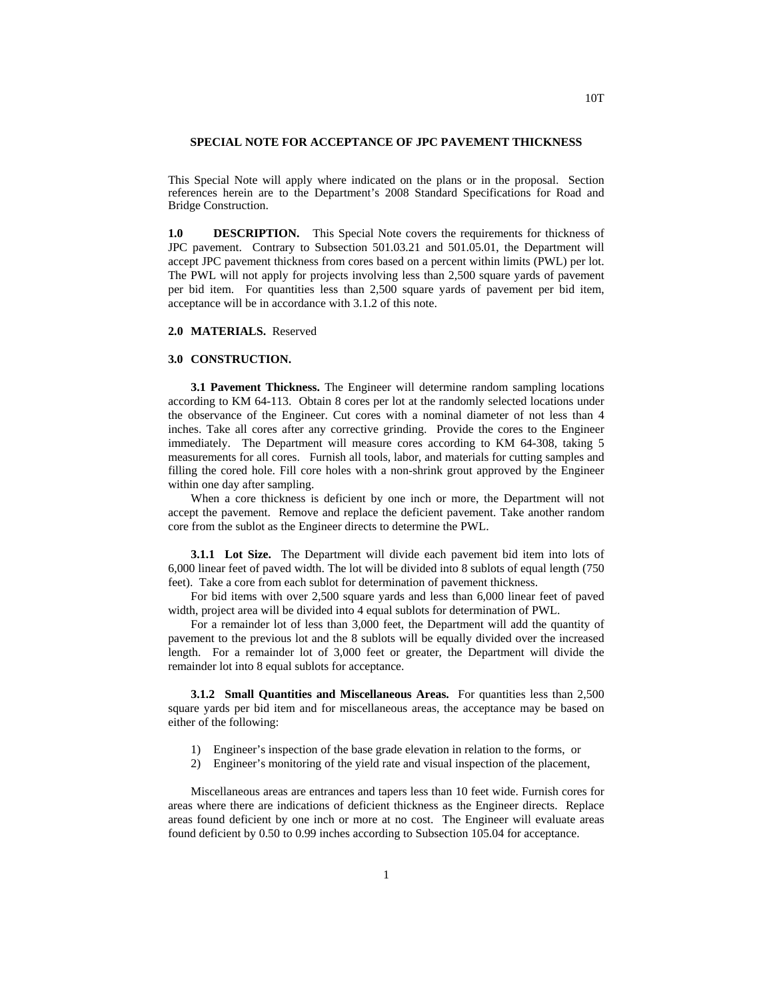## **SPECIAL NOTE FOR ACCEPTANCE OF JPC PAVEMENT THICKNESS**

This Special Note will apply where indicated on the plans or in the proposal. Section references herein are to the Department's 2008 Standard Specifications for Road and Bridge Construction.

**1.0 DESCRIPTION.** This Special Note covers the requirements for thickness of JPC pavement. Contrary to Subsection 501.03.21 and 501.05.01, the Department will accept JPC pavement thickness from cores based on a percent within limits (PWL) per lot. The PWL will not apply for projects involving less than 2,500 square yards of pavement per bid item. For quantities less than 2,500 square yards of pavement per bid item, acceptance will be in accordance with 3.1.2 of this note.

**2.0 MATERIALS.** Reserved

## **3.0 CONSTRUCTION.**

**3.1 Pavement Thickness.** The Engineer will determine random sampling locations according to KM 64-113. Obtain 8 cores per lot at the randomly selected locations under the observance of the Engineer. Cut cores with a nominal diameter of not less than 4 inches. Take all cores after any corrective grinding. Provide the cores to the Engineer immediately. The Department will measure cores according to KM 64-308, taking 5 measurements for all cores. Furnish all tools, labor, and materials for cutting samples and filling the cored hole. Fill core holes with a non-shrink grout approved by the Engineer within one day after sampling.

When a core thickness is deficient by one inch or more, the Department will not accept the pavement. Remove and replace the deficient pavement. Take another random core from the sublot as the Engineer directs to determine the PWL.

**3.1.1 Lot Size.** The Department will divide each pavement bid item into lots of 6,000 linear feet of paved width. The lot will be divided into 8 sublots of equal length (750 feet). Take a core from each sublot for determination of pavement thickness.

For bid items with over 2,500 square yards and less than 6,000 linear feet of paved width, project area will be divided into 4 equal sublots for determination of PWL.

For a remainder lot of less than 3,000 feet, the Department will add the quantity of pavement to the previous lot and the 8 sublots will be equally divided over the increased length. For a remainder lot of 3,000 feet or greater, the Department will divide the remainder lot into 8 equal sublots for acceptance.

**3.1.2 Small Quantities and Miscellaneous Areas.** For quantities less than 2,500 square yards per bid item and for miscellaneous areas, the acceptance may be based on either of the following:

- 1) Engineer's inspection of the base grade elevation in relation to the forms, or
- 2) Engineer's monitoring of the yield rate and visual inspection of the placement,

Miscellaneous areas are entrances and tapers less than 10 feet wide. Furnish cores for areas where there are indications of deficient thickness as the Engineer directs. Replace areas found deficient by one inch or more at no cost. The Engineer will evaluate areas found deficient by 0.50 to 0.99 inches according to Subsection 105.04 for acceptance.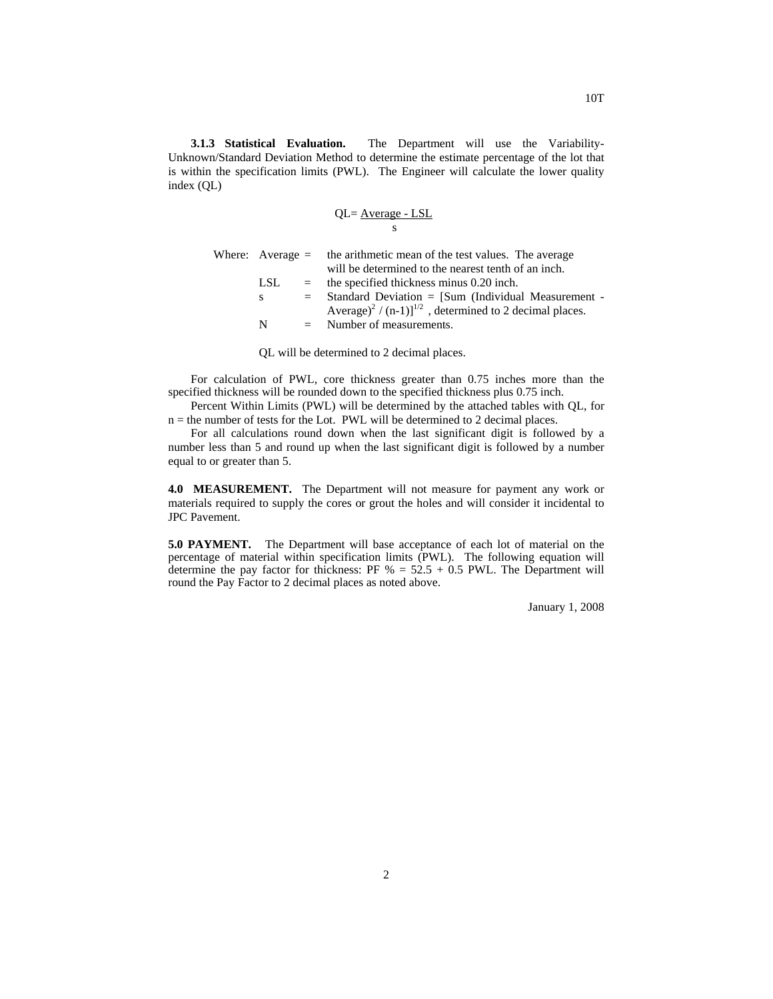**3.1.3 Statistical Evaluation.** The Department will use the Variability-Unknown/Standard Deviation Method to determine the estimate percentage of the lot that is within the specification limits (PWL). The Engineer will calculate the lower quality index (QL)

$$
QL = \frac{Average - LSL}{s}
$$

|      |     | Where: Average $=$ the arithmetic mean of the test values. The average<br>will be determined to the nearest tenth of an inch. |  |  |  |  |  |
|------|-----|-------------------------------------------------------------------------------------------------------------------------------|--|--|--|--|--|
| LSL. |     | $=$ the specified thickness minus 0.20 inch.                                                                                  |  |  |  |  |  |
| S.   | $=$ | Standard Deviation = [Sum (Individual Measurement -                                                                           |  |  |  |  |  |
|      |     | Average) <sup>2</sup> / (n-1)] <sup>1/2</sup> , determined to 2 decimal places.                                               |  |  |  |  |  |
| N    |     | $=$ Number of measurements.                                                                                                   |  |  |  |  |  |
|      |     |                                                                                                                               |  |  |  |  |  |

QL will be determined to 2 decimal places.

For calculation of PWL, core thickness greater than 0.75 inches more than the specified thickness will be rounded down to the specified thickness plus 0.75 inch.

Percent Within Limits (PWL) will be determined by the attached tables with QL, for  $n =$  the number of tests for the Lot. PWL will be determined to 2 decimal places.

For all calculations round down when the last significant digit is followed by a number less than 5 and round up when the last significant digit is followed by a number equal to or greater than 5.

**4.0 MEASUREMENT.** The Department will not measure for payment any work or materials required to supply the cores or grout the holes and will consider it incidental to JPC Pavement.

**5.0 PAYMENT.** The Department will base acceptance of each lot of material on the percentage of material within specification limits (PWL). The following equation will determine the pay factor for thickness: PF  $% = 52.5 + 0.5$  PWL. The Department will round the Pay Factor to 2 decimal places as noted above.

January 1, 2008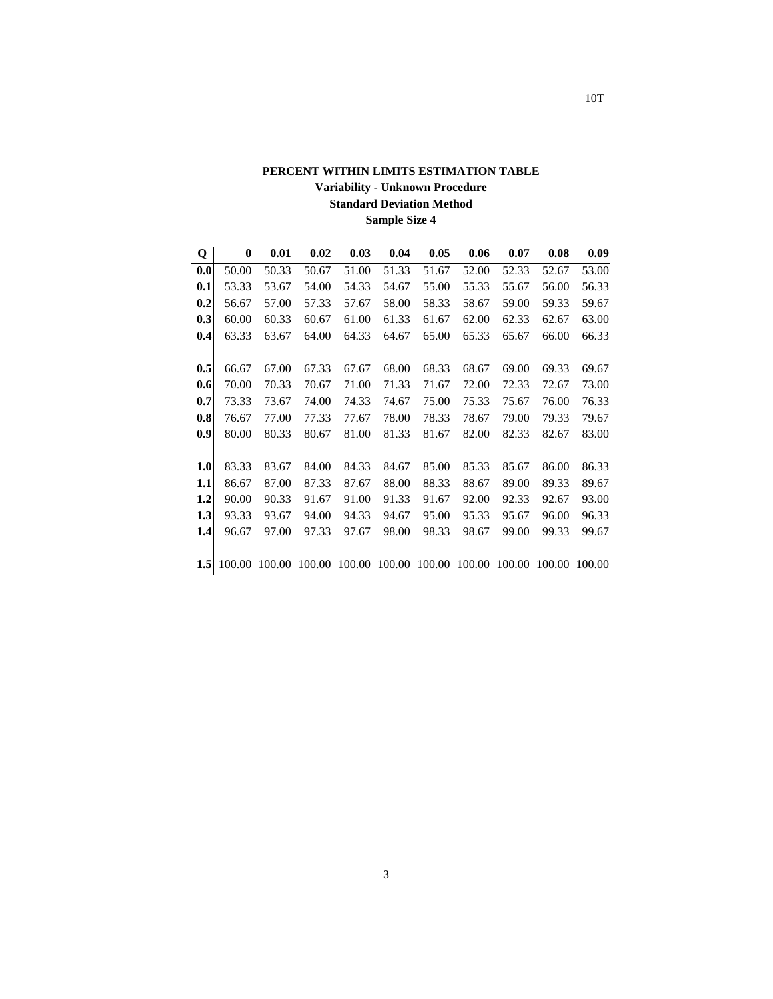## **PERCENT WITHIN LIMITS ESTIMATION TABLE Variability - Unknown Procedure Standard Deviation Method Sample Size 4**

| Q                | 0      | 0.01   | 0.02   | 0.03   | 0.04   | 0.05   | 0.06   | 0.07   | 0.08   | 0.09   |
|------------------|--------|--------|--------|--------|--------|--------|--------|--------|--------|--------|
| 0.0              | 50.00  | 50.33  | 50.67  | 51.00  | 51.33  | 51.67  | 52.00  | 52.33  | 52.67  | 53.00  |
| 0.1              | 53.33  | 53.67  | 54.00  | 54.33  | 54.67  | 55.00  | 55.33  | 55.67  | 56.00  | 56.33  |
| 0.2              | 56.67  | 57.00  | 57.33  | 57.67  | 58.00  | 58.33  | 58.67  | 59.00  | 59.33  | 59.67  |
| 0.3              | 60.00  | 60.33  | 60.67  | 61.00  | 61.33  | 61.67  | 62.00  | 62.33  | 62.67  | 63.00  |
| 0.4              | 63.33  | 63.67  | 64.00  | 64.33  | 64.67  | 65.00  | 65.33  | 65.67  | 66.00  | 66.33  |
|                  |        |        |        |        |        |        |        |        |        |        |
| 0.5              | 66.67  | 67.00  | 67.33  | 67.67  | 68.00  | 68.33  | 68.67  | 69.00  | 69.33  | 69.67  |
| 0.6              | 70.00  | 70.33  | 70.67  | 71.00  | 71.33  | 71.67  | 72.00  | 72.33  | 72.67  | 73.00  |
| 0.7              | 73.33  | 73.67  | 74.00  | 74.33  | 74.67  | 75.00  | 75.33  | 75.67  | 76.00  | 76.33  |
| 0.8              | 76.67  | 77.00  | 77.33  | 77.67  | 78.00  | 78.33  | 78.67  | 79.00  | 79.33  | 79.67  |
| 0.9              | 80.00  | 80.33  | 80.67  | 81.00  | 81.33  | 81.67  | 82.00  | 82.33  | 82.67  | 83.00  |
|                  |        |        |        |        |        |        |        |        |        |        |
| 1.0              | 83.33  | 83.67  | 84.00  | 84.33  | 84.67  | 85.00  | 85.33  | 85.67  | 86.00  | 86.33  |
| 1.1              | 86.67  | 87.00  | 87.33  | 87.67  | 88.00  | 88.33  | 88.67  | 89.00  | 89.33  | 89.67  |
| 1.2              | 90.00  | 90.33  | 91.67  | 91.00  | 91.33  | 91.67  | 92.00  | 92.33  | 92.67  | 93.00  |
| 1.3              | 93.33  | 93.67  | 94.00  | 94.33  | 94.67  | 95.00  | 95.33  | 95.67  | 96.00  | 96.33  |
| 1.4              | 96.67  | 97.00  | 97.33  | 97.67  | 98.00  | 98.33  | 98.67  | 99.00  | 99.33  | 99.67  |
|                  |        |        |        |        |        |        |        |        |        |        |
| 1.5 <sub>l</sub> | 100.00 | 100.00 | 100.00 | 100.00 | 100.00 | 100.00 | 100.00 | 100.00 | 100.00 | 100.00 |
|                  |        |        |        |        |        |        |        |        |        |        |

10T